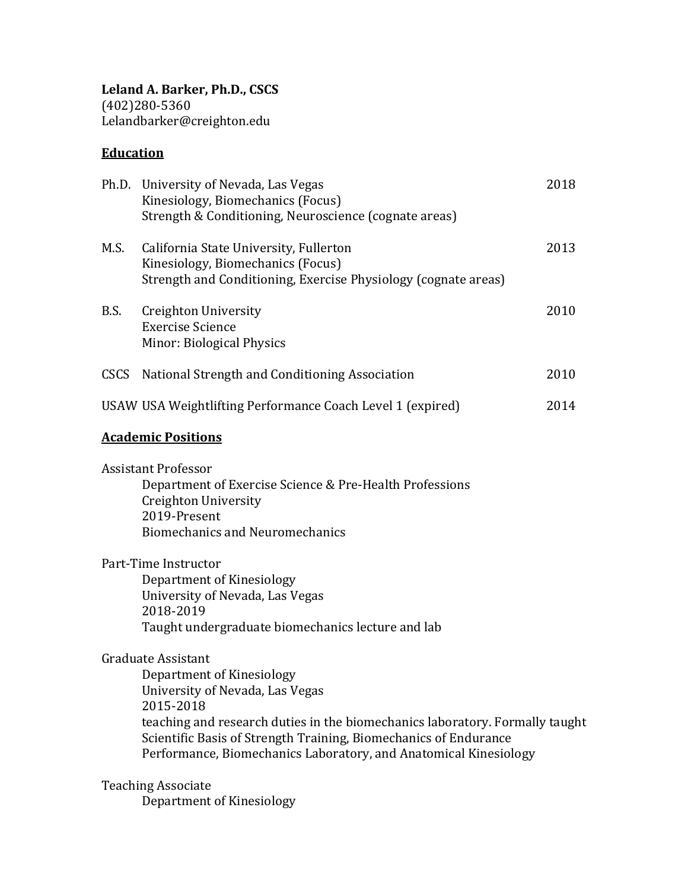# **Education**

|                           | Ph.D. University of Nevada, Las Vegas<br>Kinesiology, Biomechanics (Focus)<br>Strength & Conditioning, Neuroscience (cognate areas)                                                                                                                                                                                            | 2018 |
|---------------------------|--------------------------------------------------------------------------------------------------------------------------------------------------------------------------------------------------------------------------------------------------------------------------------------------------------------------------------|------|
| M.S.                      | California State University, Fullerton<br>Kinesiology, Biomechanics (Focus)<br>Strength and Conditioning, Exercise Physiology (cognate areas)                                                                                                                                                                                  | 2013 |
| B.S.                      | Creighton University<br><b>Exercise Science</b><br>Minor: Biological Physics                                                                                                                                                                                                                                                   | 2010 |
| <b>CSCS</b>               | National Strength and Conditioning Association                                                                                                                                                                                                                                                                                 | 2010 |
|                           | USAW USA Weightlifting Performance Coach Level 1 (expired)                                                                                                                                                                                                                                                                     | 2014 |
| <b>Academic Positions</b> |                                                                                                                                                                                                                                                                                                                                |      |
|                           | <b>Assistant Professor</b><br>Department of Exercise Science & Pre-Health Professions<br>Creighton University<br>2019-Present<br><b>Biomechanics and Neuromechanics</b>                                                                                                                                                        |      |
|                           | Part-Time Instructor<br>Department of Kinesiology<br>University of Nevada, Las Vegas<br>2018-2019<br>Taught undergraduate biomechanics lecture and lab                                                                                                                                                                         |      |
|                           | <b>Graduate Assistant</b><br>Department of Kinesiology<br>University of Nevada, Las Vegas<br>2015-2018<br>teaching and research duties in the biomechanics laboratory. Formally taught<br>Scientific Basis of Strength Training, Biomechanics of Endurance<br>Performance, Biomechanics Laboratory, and Anatomical Kinesiology |      |

Teaching Associate Department of Kinesiology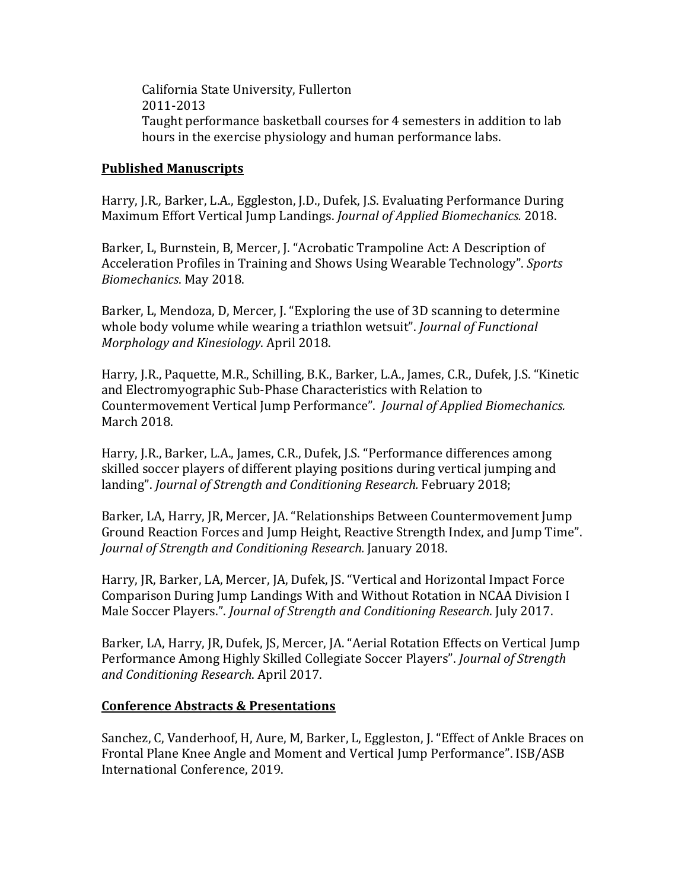California State University, Fullerton 2011-2013 Taught performance basketball courses for 4 semesters in addition to lab hours in the exercise physiology and human performance labs.

#### **Published Manuscripts**

Harry, J.R., Barker, L.A., Eggleston, J.D., Dufek, J.S. Evaluating Performance During Maximum Effort Vertical Jump Landings. *Journal of Applied Biomechanics.* 2018.

Barker, L. Burnstein, B. Mercer, J. "Acrobatic Trampoline Act: A Description of Acceleration Profiles in Training and Shows Using Wearable Technology". Sports *Biomechanics*. May 2018.

Barker, L, Mendoza, D, Mercer, J. "Exploring the use of 3D scanning to determine whole body volume while wearing a triathlon wetsuit". *Journal of Functional Morphology and Kinesiology. April 2018.* 

Harry, J.R., Paquette, M.R., Schilling, B.K., Barker, L.A., James, C.R., Dufek, J.S. "Kinetic and Electromyographic Sub-Phase Characteristics with Relation to Countermovement Vertical Jump Performance". *Journal of Applied Biomechanics.* March 2018.

Harry, J.R., Barker, L.A., James, C.R., Dufek, J.S. "Performance differences among skilled soccer players of different playing positions during vertical jumping and landing". *Journal of Strength and Conditioning Research.* February 2018;

Barker, LA, Harry, JR, Mercer, JA. "Relationships Between Countermovement Jump Ground Reaction Forces and Jump Height, Reactive Strength Index, and Jump Time". *Journal of Strength and Conditioning Research.* January 2018.

Harry, JR, Barker, LA, Mercer, JA, Dufek, JS. "Vertical and Horizontal Impact Force Comparison During Jump Landings With and Without Rotation in NCAA Division I Male Soccer Players.". *Journal of Strength and Conditioning Research*. July 2017.

Barker, LA, Harry, JR, Dufek, JS, Mercer, JA. "Aerial Rotation Effects on Vertical Jump Performance Among Highly Skilled Collegiate Soccer Players". *Journal of Strength and Conditioning Research*. April 2017.

#### **Conference Abstracts & Presentations**

Sanchez, C, Vanderhoof, H, Aure, M, Barker, L, Eggleston, J. "Effect of Ankle Braces on Frontal Plane Knee Angle and Moment and Vertical Jump Performance". ISB/ASB International Conference, 2019.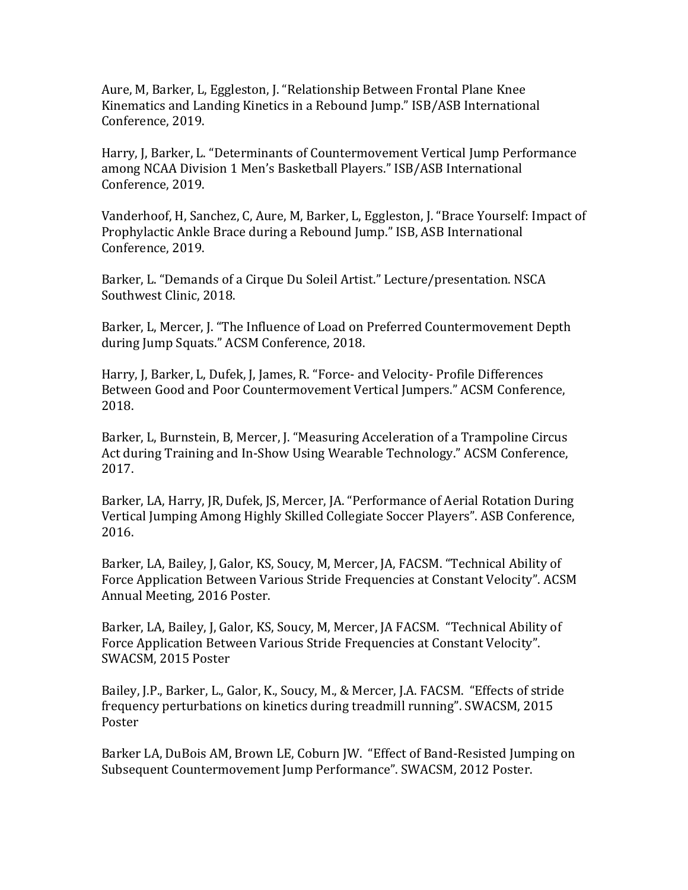Aure, M, Barker, L, Eggleston, J. "Relationship Between Frontal Plane Knee Kinematics and Landing Kinetics in a Rebound Jump." ISB/ASB International Conference, 2019.

Harry, J, Barker, L. "Determinants of Countermovement Vertical Jump Performance among NCAA Division 1 Men's Basketball Players." ISB/ASB International Conference, 2019.

Vanderhoof, H, Sanchez, C, Aure, M, Barker, L, Eggleston, J. "Brace Yourself: Impact of Prophylactic Ankle Brace during a Rebound Jump." ISB, ASB International Conference, 2019.

Barker, L. "Demands of a Cirque Du Soleil Artist." Lecture/presentation. NSCA Southwest Clinic, 2018.

Barker, L, Mercer, J. "The Influence of Load on Preferred Countermovement Depth during Jump Squats." ACSM Conference, 2018.

Harry, J, Barker, L, Dufek, J, James, R. "Force- and Velocity- Profile Differences Between Good and Poor Countermovement Vertical Jumpers." ACSM Conference, 2018.

Barker, L, Burnstein, B, Mercer, J. "Measuring Acceleration of a Trampoline Circus Act during Training and In-Show Using Wearable Technology." ACSM Conference, 2017.

Barker, LA, Harry, JR, Dufek, JS, Mercer, JA. "Performance of Aerial Rotation During Vertical Jumping Among Highly Skilled Collegiate Soccer Players". ASB Conference, 2016.

Barker, LA, Bailey, J. Galor, KS, Soucy, M. Mercer, JA, FACSM. "Technical Ability of Force Application Between Various Stride Frequencies at Constant Velocity". ACSM Annual Meeting, 2016 Poster.

Barker, LA, Bailey, J, Galor, KS, Soucy, M, Mercer, JA FACSM. "Technical Ability of Force Application Between Various Stride Frequencies at Constant Velocity". SWACSM, 2015 Poster

Bailey, J.P., Barker, L., Galor, K., Soucy, M., & Mercer, J.A. FACSM. "Effects of stride frequency perturbations on kinetics during treadmill running". SWACSM, 2015 Poster

Barker LA, DuBois AM, Brown LE, Coburn JW. "Effect of Band-Resisted Jumping on Subsequent Countermovement Jump Performance". SWACSM, 2012 Poster.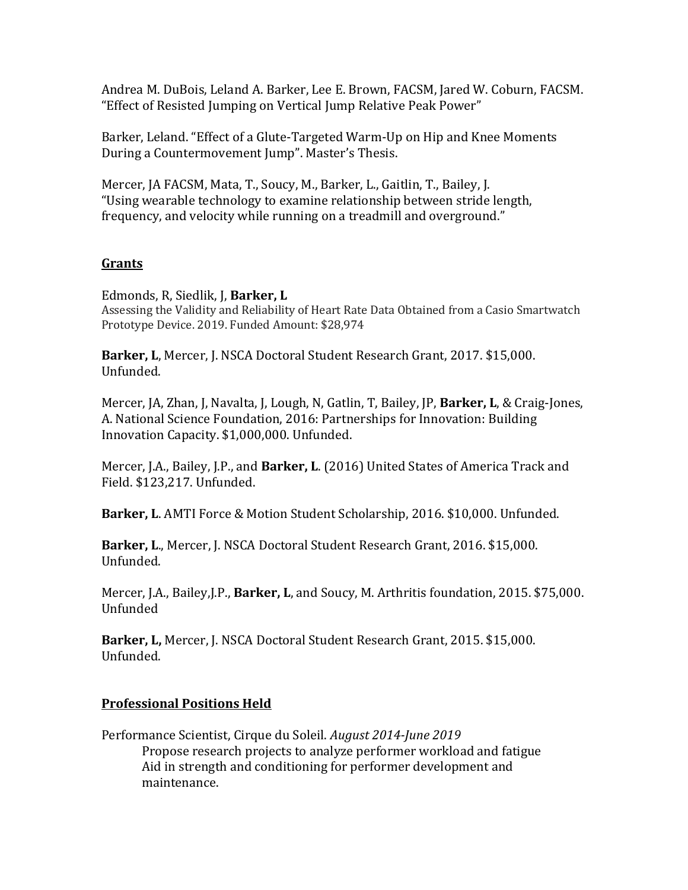Andrea M. DuBois, Leland A. Barker, Lee E. Brown, FACSM, Jared W. Coburn, FACSM. "Effect of Resisted Jumping on Vertical Jump Relative Peak Power"

Barker, Leland. "Effect of a Glute-Targeted Warm-Up on Hip and Knee Moments During a Countermovement Jump". Master's Thesis.

Mercer, JA FACSM, Mata, T., Soucy, M., Barker, L., Gaitlin, T., Bailey, J. "Using wearable technology to examine relationship between stride length, frequency, and velocity while running on a treadmill and overground."

## **Grants**

#### Edmonds, R, Siedlik, J, **Barker, L**

Assessing the Validity and Reliability of Heart Rate Data Obtained from a Casio Smartwatch Prototype Device. 2019. Funded Amount: \$28,974

Barker, L. Mercer, J. NSCA Doctoral Student Research Grant, 2017. \$15,000. Unfunded.

Mercer, JA, Zhan, J, Navalta, J, Lough, N, Gatlin, T, Bailey, JP, Barker, L, & Craig-Jones, A. National Science Foundation, 2016: Partnerships for Innovation: Building Innovation Capacity. \$1,000,000. Unfunded.

Mercer, J.A., Bailey, J.P., and **Barker, L**. (2016) United States of America Track and Field. \$123,217. Unfunded.

Barker, L. AMTI Force & Motion Student Scholarship, 2016. \$10,000. Unfunded.

Barker, L., Mercer, J. NSCA Doctoral Student Research Grant, 2016. \$15,000. Unfunded.

Mercer, J.A., Bailey,J.P., Barker, L, and Soucy, M. Arthritis foundation, 2015. \$75,000. Unfunded

**Barker, L, Mercer, J. NSCA Doctoral Student Research Grant, 2015. \$15,000.** Unfunded.

## **Professional Positions Held**

Performance Scientist, Cirque du Soleil. *August 2014-June 2019* Propose research projects to analyze performer workload and fatigue Aid in strength and conditioning for performer development and maintenance.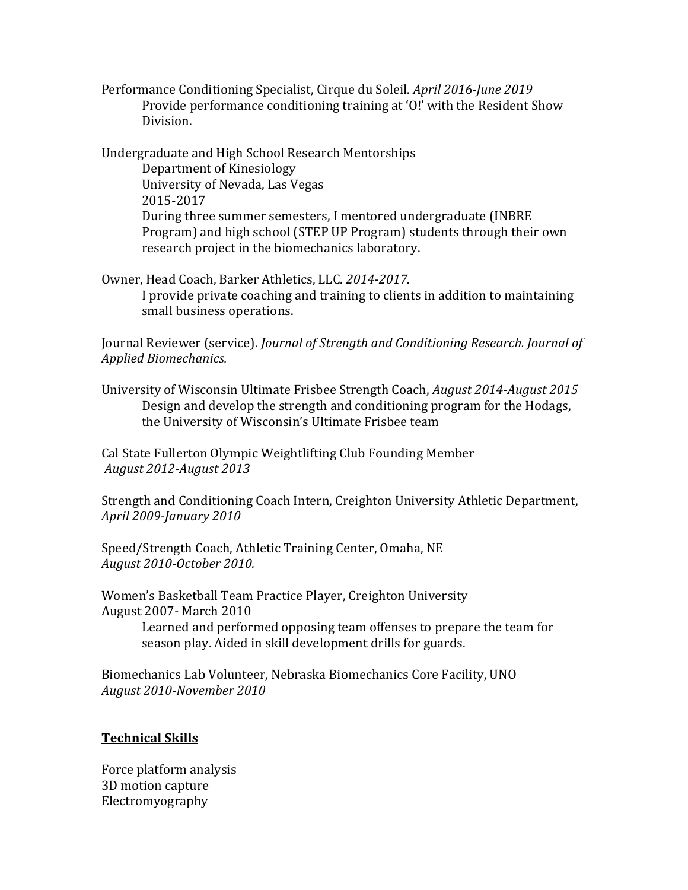Performance Conditioning Specialist, Cirque du Soleil. *April 2016-June 2019* Provide performance conditioning training at 'O!' with the Resident Show Division.

Undergraduate and High School Research Mentorships Department of Kinesiology University of Nevada, Las Vegas 2015-2017 During three summer semesters, I mentored undergraduate (INBRE) Program) and high school (STEP UP Program) students through their own research project in the biomechanics laboratory.

Owner, Head Coach, Barker Athletics, LLC. 2014-2017. I provide private coaching and training to clients in addition to maintaining small business operations.

Journal Reviewer (service). *Journal of Strength and Conditioning Research. Journal of Applied Biomechanics.*

University of Wisconsin Ultimate Frisbee Strength Coach, *August 2014-August 2015* Design and develop the strength and conditioning program for the Hodags, the University of Wisconsin's Ultimate Frisbee team

Cal State Fullerton Olympic Weightlifting Club Founding Member *August 2012-August 2013*

Strength and Conditioning Coach Intern, Creighton University Athletic Department, *April 2009-January 2010*

Speed/Strength Coach, Athletic Training Center, Omaha, NE *August 2010-October 2010.*

Women's Basketball Team Practice Player, Creighton University August 2007- March 2010 Learned and performed opposing team offenses to prepare the team for season play. Aided in skill development drills for guards.

Biomechanics Lab Volunteer, Nebraska Biomechanics Core Facility, UNO *August 2010-November 2010*

## **Technical Skills**

Force platform analysis 3D motion capture Electromyography